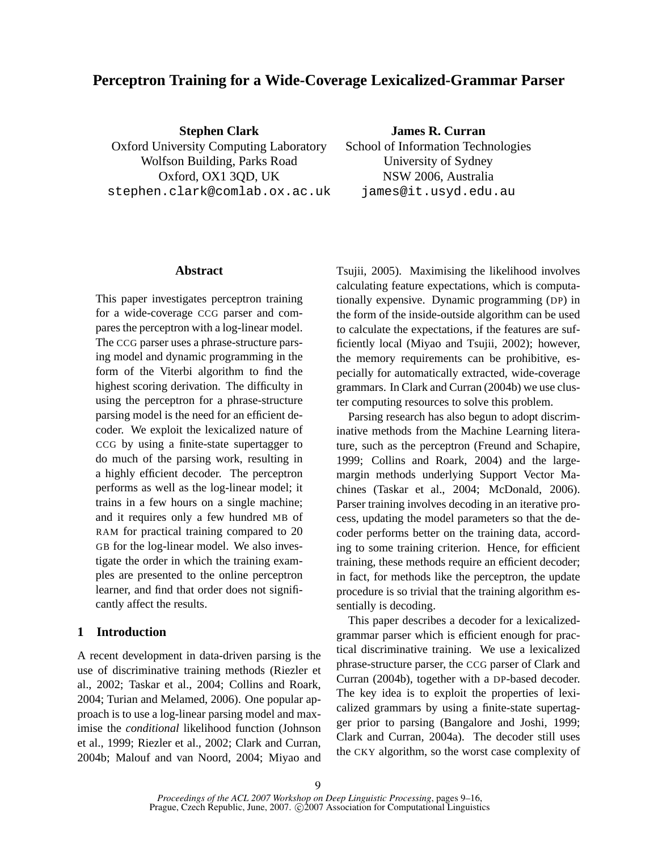# **Perceptron Training for a Wide-Coverage Lexicalized-Grammar Parser**

**Stephen Clark** Oxford University Computing Laboratory Wolfson Building, Parks Road Oxford, OX1 3QD, UK stephen.clark@comlab.ox.ac.uk **James R. Curran**

School of Information Technologies University of Sydney NSW 2006, Australia james@it.usyd.edu.au

### **Abstract**

This paper investigates perceptron training for a wide-coverage CCG parser and compares the perceptron with a log-linear model. The CCG parser uses a phrase-structure parsing model and dynamic programming in the form of the Viterbi algorithm to find the highest scoring derivation. The difficulty in using the perceptron for a phrase-structure parsing model is the need for an efficient decoder. We exploit the lexicalized nature of CCG by using a finite-state supertagger to do much of the parsing work, resulting in a highly efficient decoder. The perceptron performs as well as the log-linear model; it trains in a few hours on a single machine; and it requires only a few hundred MB of RAM for practical training compared to 20 GB for the log-linear model. We also investigate the order in which the training examples are presented to the online perceptron learner, and find that order does not significantly affect the results.

### **1 Introduction**

A recent development in data-driven parsing is the use of discriminative training methods (Riezler et al., 2002; Taskar et al., 2004; Collins and Roark, 2004; Turian and Melamed, 2006). One popular approach is to use a log-linear parsing model and maximise the *conditional* likelihood function (Johnson et al., 1999; Riezler et al., 2002; Clark and Curran, 2004b; Malouf and van Noord, 2004; Miyao and Tsujii, 2005). Maximising the likelihood involves calculating feature expectations, which is computationally expensive. Dynamic programming (DP) in the form of the inside-outside algorithm can be used to calculate the expectations, if the features are sufficiently local (Miyao and Tsujii, 2002); however, the memory requirements can be prohibitive, especially for automatically extracted, wide-coverage grammars. In Clark and Curran (2004b) we use cluster computing resources to solve this problem.

Parsing research has also begun to adopt discriminative methods from the Machine Learning literature, such as the perceptron (Freund and Schapire, 1999; Collins and Roark, 2004) and the largemargin methods underlying Support Vector Machines (Taskar et al., 2004; McDonald, 2006). Parser training involves decoding in an iterative process, updating the model parameters so that the decoder performs better on the training data, according to some training criterion. Hence, for efficient training, these methods require an efficient decoder; in fact, for methods like the perceptron, the update procedure is so trivial that the training algorithm essentially is decoding.

This paper describes a decoder for a lexicalizedgrammar parser which is efficient enough for practical discriminative training. We use a lexicalized phrase-structure parser, the CCG parser of Clark and Curran (2004b), together with a DP-based decoder. The key idea is to exploit the properties of lexicalized grammars by using a finite-state supertagger prior to parsing (Bangalore and Joshi, 1999; Clark and Curran, 2004a). The decoder still uses the CKY algorithm, so the worst case complexity of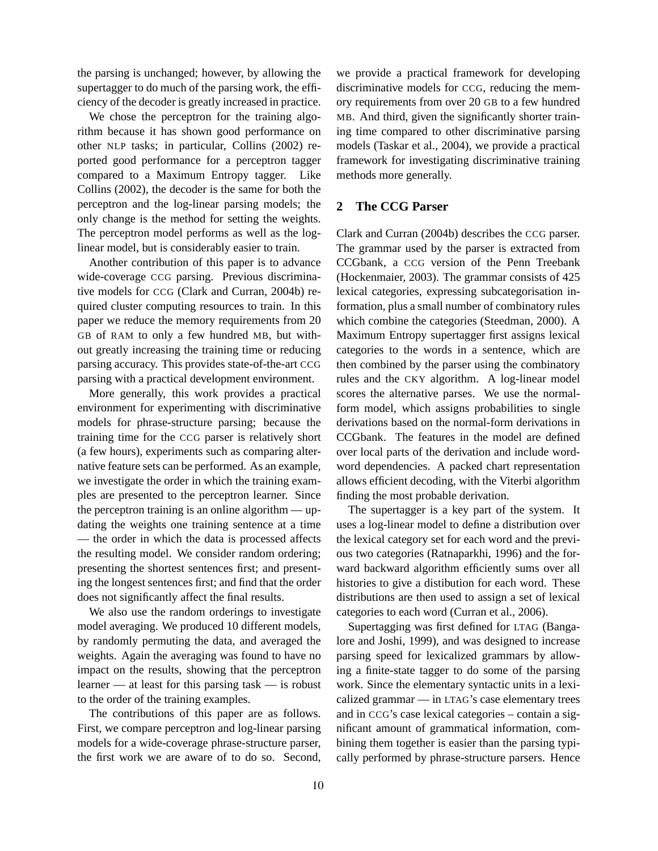the parsing is unchanged; however, by allowing the supertagger to do much of the parsing work, the efficiency of the decoder is greatly increased in practice.

We chose the perceptron for the training algorithm because it has shown good performance on other NLP tasks; in particular, Collins (2002) reported good performance for a perceptron tagger compared to a Maximum Entropy tagger. Like Collins (2002), the decoder is the same for both the perceptron and the log-linear parsing models; the only change is the method for setting the weights. The perceptron model performs as well as the loglinear model, but is considerably easier to train.

Another contribution of this paper is to advance wide-coverage CCG parsing. Previous discriminative models for CCG (Clark and Curran, 2004b) required cluster computing resources to train. In this paper we reduce the memory requirements from 20 GB of RAM to only a few hundred MB, but without greatly increasing the training time or reducing parsing accuracy. This provides state-of-the-art CCG parsing with a practical development environment.

More generally, this work provides a practical environment for experimenting with discriminative models for phrase-structure parsing; because the training time for the CCG parser is relatively short (a few hours), experiments such as comparing alternative feature sets can be performed. As an example, we investigate the order in which the training examples are presented to the perceptron learner. Since the perceptron training is an online algorithm — updating the weights one training sentence at a time — the order in which the data is processed affects the resulting model. We consider random ordering; presenting the shortest sentences first; and presenting the longest sentences first; and find that the order does not significantly affect the final results.

We also use the random orderings to investigate model averaging. We produced 10 different models, by randomly permuting the data, and averaged the weights. Again the averaging was found to have no impact on the results, showing that the perceptron learner — at least for this parsing task — is robust to the order of the training examples.

The contributions of this paper are as follows. First, we compare perceptron and log-linear parsing models for a wide-coverage phrase-structure parser, the first work we are aware of to do so. Second, we provide a practical framework for developing discriminative models for CCG, reducing the memory requirements from over 20 GB to a few hundred MB. And third, given the significantly shorter training time compared to other discriminative parsing models (Taskar et al., 2004), we provide a practical framework for investigating discriminative training methods more generally.

### **2 The CCG Parser**

Clark and Curran (2004b) describes the CCG parser. The grammar used by the parser is extracted from CCGbank, a CCG version of the Penn Treebank (Hockenmaier, 2003). The grammar consists of 425 lexical categories, expressing subcategorisation information, plus a small number of combinatory rules which combine the categories (Steedman, 2000). A Maximum Entropy supertagger first assigns lexical categories to the words in a sentence, which are then combined by the parser using the combinatory rules and the CKY algorithm. A log-linear model scores the alternative parses. We use the normalform model, which assigns probabilities to single derivations based on the normal-form derivations in CCGbank. The features in the model are defined over local parts of the derivation and include wordword dependencies. A packed chart representation allows efficient decoding, with the Viterbi algorithm finding the most probable derivation.

The supertagger is a key part of the system. It uses a log-linear model to define a distribution over the lexical category set for each word and the previous two categories (Ratnaparkhi, 1996) and the forward backward algorithm efficiently sums over all histories to give a distibution for each word. These distributions are then used to assign a set of lexical categories to each word (Curran et al., 2006).

Supertagging was first defined for LTAG (Bangalore and Joshi, 1999), and was designed to increase parsing speed for lexicalized grammars by allowing a finite-state tagger to do some of the parsing work. Since the elementary syntactic units in a lexicalized grammar — in LTAG's case elementary trees and in CCG's case lexical categories – contain a significant amount of grammatical information, combining them together is easier than the parsing typically performed by phrase-structure parsers. Hence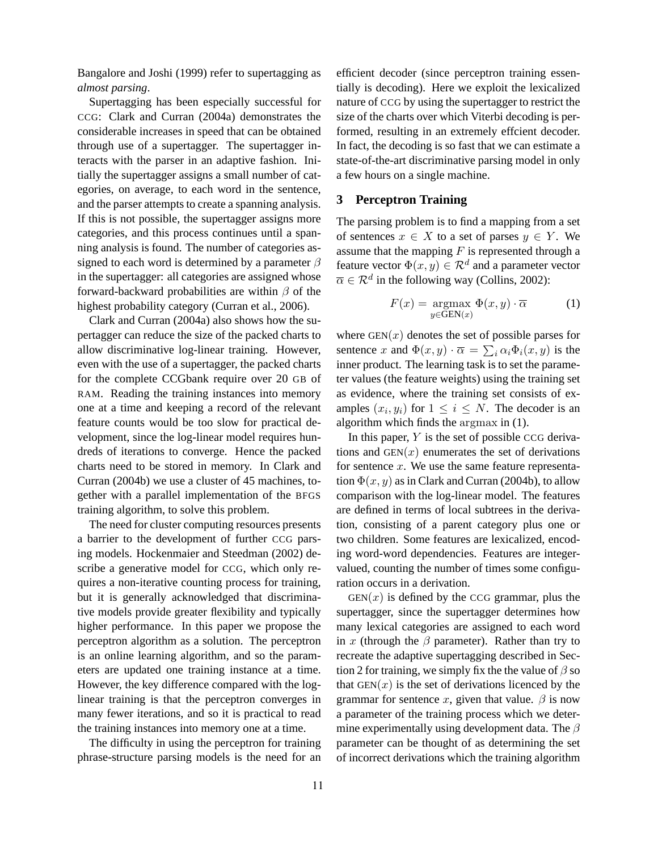Bangalore and Joshi (1999) refer to supertagging as *almost parsing*.

Supertagging has been especially successful for CCG: Clark and Curran (2004a) demonstrates the considerable increases in speed that can be obtained through use of a supertagger. The supertagger interacts with the parser in an adaptive fashion. Initially the supertagger assigns a small number of categories, on average, to each word in the sentence, and the parser attempts to create a spanning analysis. If this is not possible, the supertagger assigns more categories, and this process continues until a spanning analysis is found. The number of categories assigned to each word is determined by a parameter  $\beta$ in the supertagger: all categories are assigned whose forward-backward probabilities are within  $\beta$  of the highest probability category (Curran et al., 2006).

Clark and Curran (2004a) also shows how the supertagger can reduce the size of the packed charts to allow discriminative log-linear training. However, even with the use of a supertagger, the packed charts for the complete CCGbank require over 20 GB of RAM. Reading the training instances into memory one at a time and keeping a record of the relevant feature counts would be too slow for practical development, since the log-linear model requires hundreds of iterations to converge. Hence the packed charts need to be stored in memory. In Clark and Curran (2004b) we use a cluster of 45 machines, together with a parallel implementation of the BFGS training algorithm, to solve this problem.

The need for cluster computing resources presents a barrier to the development of further CCG parsing models. Hockenmaier and Steedman (2002) describe a generative model for CCG, which only requires a non-iterative counting process for training, but it is generally acknowledged that discriminative models provide greater flexibility and typically higher performance. In this paper we propose the perceptron algorithm as a solution. The perceptron is an online learning algorithm, and so the parameters are updated one training instance at a time. However, the key difference compared with the loglinear training is that the perceptron converges in many fewer iterations, and so it is practical to read the training instances into memory one at a time.

The difficulty in using the perceptron for training phrase-structure parsing models is the need for an efficient decoder (since perceptron training essentially is decoding). Here we exploit the lexicalized nature of CCG by using the supertagger to restrict the size of the charts over which Viterbi decoding is performed, resulting in an extremely effcient decoder. In fact, the decoding is so fast that we can estimate a state-of-the-art discriminative parsing model in only a few hours on a single machine.

### **3 Perceptron Training**

The parsing problem is to find a mapping from a set of sentences  $x \in X$  to a set of parses  $y \in Y$ . We assume that the mapping  $F$  is represented through a feature vector  $\Phi(x,y) \in \mathcal{R}^d$  and a parameter vector  $\overline{\alpha} \in \mathcal{R}^d$  in the following way (Collins, 2002):

$$
F(x) = \underset{y \in \text{GEN}(x)}{\text{argmax}} \ \Phi(x, y) \cdot \overline{\alpha} \tag{1}
$$

where  $GEN(x)$  denotes the set of possible parses for sentence x and  $\Phi(x, y) \cdot \overline{\alpha} = \sum_i \alpha_i \Phi_i(x, y)$  is the inner product. The learning task is to set the parameter values (the feature weights) using the training set as evidence, where the training set consists of examples  $(x_i, y_i)$  for  $1 \leq i \leq N$ . The decoder is an algorithm which finds the argmax in (1).

In this paper,  $Y$  is the set of possible CCG derivations and  $GEN(x)$  enumerates the set of derivations for sentence  $x$ . We use the same feature representation  $\Phi(x, y)$  as in Clark and Curran (2004b), to allow comparison with the log-linear model. The features are defined in terms of local subtrees in the derivation, consisting of a parent category plus one or two children. Some features are lexicalized, encoding word-word dependencies. Features are integervalued, counting the number of times some configuration occurs in a derivation.

 $GEN(x)$  is defined by the CCG grammar, plus the supertagger, since the supertagger determines how many lexical categories are assigned to each word in x (through the  $\beta$  parameter). Rather than try to recreate the adaptive supertagging described in Section 2 for training, we simply fix the the value of  $\beta$  so that  $GEN(x)$  is the set of derivations licenced by the grammar for sentence x, given that value.  $\beta$  is now a parameter of the training process which we determine experimentally using development data. The  $\beta$ parameter can be thought of as determining the set of incorrect derivations which the training algorithm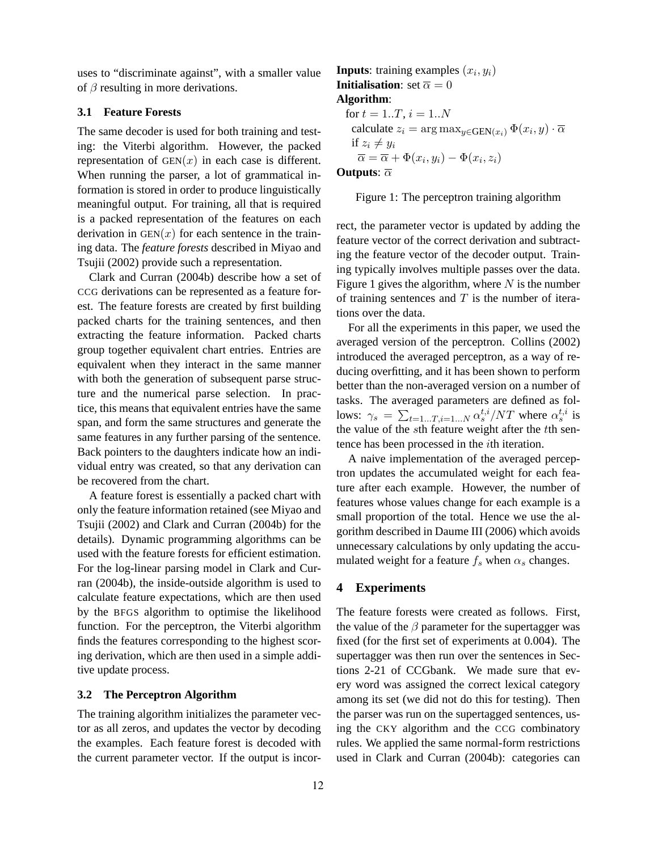uses to "discriminate against", with a smaller value of  $\beta$  resulting in more derivations.

### **3.1 Feature Forests**

The same decoder is used for both training and testing: the Viterbi algorithm. However, the packed representation of  $GEN(x)$  in each case is different. When running the parser, a lot of grammatical information is stored in order to produce linguistically meaningful output. For training, all that is required is a packed representation of the features on each derivation in  $GEN(x)$  for each sentence in the training data. The *feature forests* described in Miyao and Tsujii (2002) provide such a representation.

Clark and Curran (2004b) describe how a set of CCG derivations can be represented as a feature forest. The feature forests are created by first building packed charts for the training sentences, and then extracting the feature information. Packed charts group together equivalent chart entries. Entries are equivalent when they interact in the same manner with both the generation of subsequent parse structure and the numerical parse selection. In practice, this means that equivalent entries have the same span, and form the same structures and generate the same features in any further parsing of the sentence. Back pointers to the daughters indicate how an individual entry was created, so that any derivation can be recovered from the chart.

A feature forest is essentially a packed chart with only the feature information retained (see Miyao and Tsujii (2002) and Clark and Curran (2004b) for the details). Dynamic programming algorithms can be used with the feature forests for efficient estimation. For the log-linear parsing model in Clark and Curran (2004b), the inside-outside algorithm is used to calculate feature expectations, which are then used by the BFGS algorithm to optimise the likelihood function. For the perceptron, the Viterbi algorithm finds the features corresponding to the highest scoring derivation, which are then used in a simple additive update process.

#### **3.2 The Perceptron Algorithm**

The training algorithm initializes the parameter vector as all zeros, and updates the vector by decoding the examples. Each feature forest is decoded with the current parameter vector. If the output is incor-

# **Inputs**: training examples  $(x_i, y_i)$ **Initialisation**: set  $\overline{\alpha} = 0$ **Algorithm**: for  $t = 1..T$ ,  $i = 1..N$ calculate  $z_i = \argmax_{y \in \text{GEN}(x_i)} \Phi(x_i, y) \cdot \overline{\alpha}$ if  $z_i \neq y_i$  $\overline{\alpha} = \overline{\alpha} + \Phi(x_i, y_i) - \Phi(x_i, z_i)$

### **Outputs**:  $\overline{\alpha}$

#### Figure 1: The perceptron training algorithm

rect, the parameter vector is updated by adding the feature vector of the correct derivation and subtracting the feature vector of the decoder output. Training typically involves multiple passes over the data. Figure 1 gives the algorithm, where  $N$  is the number of training sentences and  $T$  is the number of iterations over the data.

For all the experiments in this paper, we used the averaged version of the perceptron. Collins (2002) introduced the averaged perceptron, as a way of reducing overfitting, and it has been shown to perform better than the non-averaged version on a number of tasks. The averaged parameters are defined as follows:  $\gamma_s = \sum_{t=1...T, i=1...N} \alpha_s^{t,i}/NT$  where  $\alpha_s^{t,i}$  is the value of the sth feature weight after the tth sentence has been processed in the ith iteration.

A naive implementation of the averaged perceptron updates the accumulated weight for each feature after each example. However, the number of features whose values change for each example is a small proportion of the total. Hence we use the algorithm described in Daume III (2006) which avoids unnecessary calculations by only updating the accumulated weight for a feature  $f_s$  when  $\alpha_s$  changes.

#### **4 Experiments**

The feature forests were created as follows. First, the value of the  $\beta$  parameter for the supertagger was fixed (for the first set of experiments at 0.004). The supertagger was then run over the sentences in Sections 2-21 of CCGbank. We made sure that every word was assigned the correct lexical category among its set (we did not do this for testing). Then the parser was run on the supertagged sentences, using the CKY algorithm and the CCG combinatory rules. We applied the same normal-form restrictions used in Clark and Curran (2004b): categories can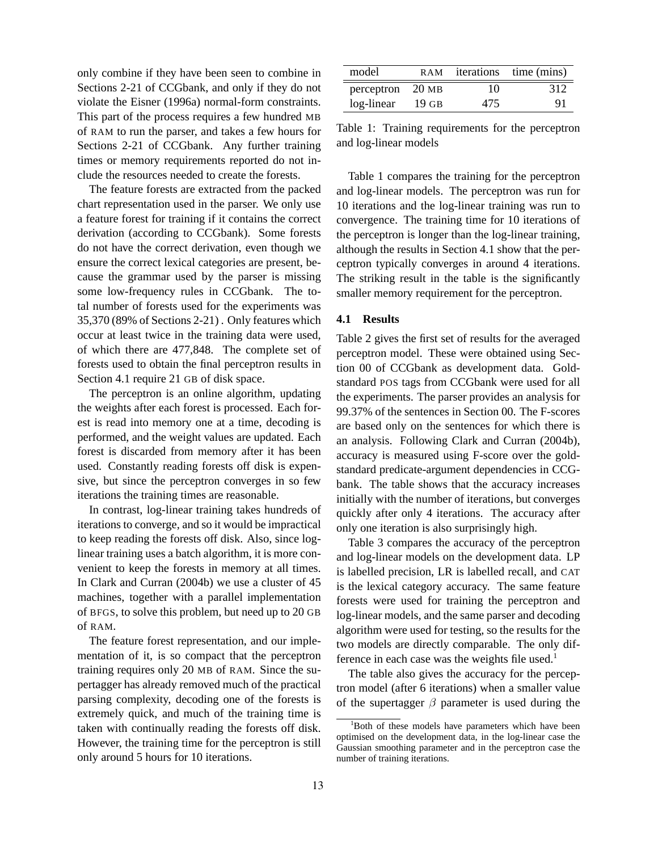only combine if they have been seen to combine in Sections 2-21 of CCGbank, and only if they do not violate the Eisner (1996a) normal-form constraints. This part of the process requires a few hundred MB of RAM to run the parser, and takes a few hours for Sections 2-21 of CCGbank. Any further training times or memory requirements reported do not include the resources needed to create the forests.

The feature forests are extracted from the packed chart representation used in the parser. We only use a feature forest for training if it contains the correct derivation (according to CCGbank). Some forests do not have the correct derivation, even though we ensure the correct lexical categories are present, because the grammar used by the parser is missing some low-frequency rules in CCGbank. The total number of forests used for the experiments was 35,370 (89% of Sections 2-21) . Only features which occur at least twice in the training data were used, of which there are 477,848. The complete set of forests used to obtain the final perceptron results in Section 4.1 require 21 GB of disk space.

The perceptron is an online algorithm, updating the weights after each forest is processed. Each forest is read into memory one at a time, decoding is performed, and the weight values are updated. Each forest is discarded from memory after it has been used. Constantly reading forests off disk is expensive, but since the perceptron converges in so few iterations the training times are reasonable.

In contrast, log-linear training takes hundreds of iterations to converge, and so it would be impractical to keep reading the forests off disk. Also, since loglinear training uses a batch algorithm, it is more convenient to keep the forests in memory at all times. In Clark and Curran (2004b) we use a cluster of 45 machines, together with a parallel implementation of BFGS, to solve this problem, but need up to 20 GB of RAM.

The feature forest representation, and our implementation of it, is so compact that the perceptron training requires only 20 MB of RAM. Since the supertagger has already removed much of the practical parsing complexity, decoding one of the forests is extremely quick, and much of the training time is taken with continually reading the forests off disk. However, the training time for the perceptron is still only around 5 hours for 10 iterations.

| model      | R A M            |     | iterations time (mins) |
|------------|------------------|-----|------------------------|
| perceptron | 20 <sub>MB</sub> | 10  | 312                    |
| log-linear | $19$ GB          | 475 | 91                     |

Table 1: Training requirements for the perceptron and log-linear models

Table 1 compares the training for the perceptron and log-linear models. The perceptron was run for 10 iterations and the log-linear training was run to convergence. The training time for 10 iterations of the perceptron is longer than the log-linear training, although the results in Section 4.1 show that the perceptron typically converges in around 4 iterations. The striking result in the table is the significantly smaller memory requirement for the perceptron.

#### **4.1 Results**

Table 2 gives the first set of results for the averaged perceptron model. These were obtained using Section 00 of CCGbank as development data. Goldstandard POS tags from CCGbank were used for all the experiments. The parser provides an analysis for 99.37% of the sentences in Section 00. The F-scores are based only on the sentences for which there is an analysis. Following Clark and Curran (2004b), accuracy is measured using F-score over the goldstandard predicate-argument dependencies in CCGbank. The table shows that the accuracy increases initially with the number of iterations, but converges quickly after only 4 iterations. The accuracy after only one iteration is also surprisingly high.

Table 3 compares the accuracy of the perceptron and log-linear models on the development data. LP is labelled precision, LR is labelled recall, and CAT is the lexical category accuracy. The same feature forests were used for training the perceptron and log-linear models, and the same parser and decoding algorithm were used for testing, so the results for the two models are directly comparable. The only difference in each case was the weights file used.<sup>1</sup>

The table also gives the accuracy for the perceptron model (after 6 iterations) when a smaller value of the supertagger  $\beta$  parameter is used during the

<sup>&</sup>lt;sup>1</sup>Both of these models have parameters which have been optimised on the development data, in the log-linear case the Gaussian smoothing parameter and in the perceptron case the number of training iterations.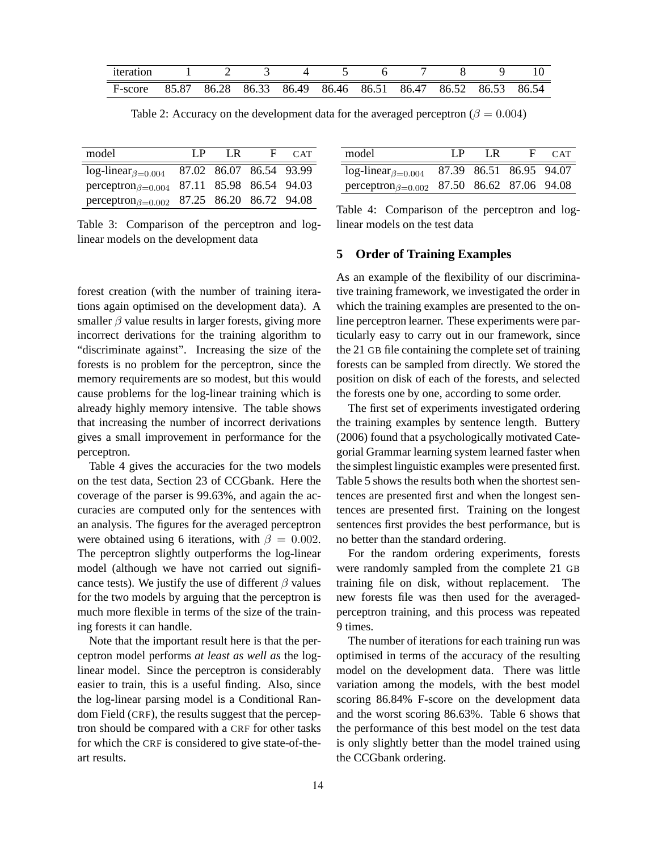| 1teration |                                                             |  |  |  |  |  |
|-----------|-------------------------------------------------------------|--|--|--|--|--|
| F-score   | 85.87 86.28 86.33 86.49 86.46 86.51 86.47 86.52 86.53 86.54 |  |  |  |  |  |

Table 2: Accuracy on the development data for the averaged perceptron ( $\beta = 0.004$ )

| model                      | I P | I R                     | F. | CAT |
|----------------------------|-----|-------------------------|----|-----|
| $log-linear_{\beta=0.004}$ |     | 87.02 86.07 86.54 93.99 |    |     |
| $perceptron_{\beta=0.004}$ |     | 87.11 85.98 86.54 94.03 |    |     |
| $perceptron_{\beta=0.002}$ |     | 87.25 86.20 86.72 94.08 |    |     |

Table 3: Comparison of the perceptron and loglinear models on the development data

forest creation (with the number of training iterations again optimised on the development data). A smaller  $\beta$  value results in larger forests, giving more incorrect derivations for the training algorithm to "discriminate against". Increasing the size of the forests is no problem for the perceptron, since the memory requirements are so modest, but this would cause problems for the log-linear training which is already highly memory intensive. The table shows that increasing the number of incorrect derivations gives a small improvement in performance for the perceptron.

Table 4 gives the accuracies for the two models on the test data, Section 23 of CCGbank. Here the coverage of the parser is 99.63%, and again the accuracies are computed only for the sentences with an analysis. The figures for the averaged perceptron were obtained using 6 iterations, with  $\beta = 0.002$ . The perceptron slightly outperforms the log-linear model (although we have not carried out significance tests). We justify the use of different  $\beta$  values for the two models by arguing that the perceptron is much more flexible in terms of the size of the training forests it can handle.

Note that the important result here is that the perceptron model performs *at least as well as* the loglinear model. Since the perceptron is considerably easier to train, this is a useful finding. Also, since the log-linear parsing model is a Conditional Random Field (CRF), the results suggest that the perceptron should be compared with a CRF for other tasks for which the CRF is considered to give state-of-theart results.

| model                                                                  | I P | $\mathsf{LR}$           | - H - | CAT |
|------------------------------------------------------------------------|-----|-------------------------|-------|-----|
| $log-linear_{\beta=0.004}$                                             |     | 87.39 86.51 86.95 94.07 |       |     |
| perceptron <sub><math>\beta=0.002</math></sub> 87.50 86.62 87.06 94.08 |     |                         |       |     |

Table 4: Comparison of the perceptron and loglinear models on the test data

### **5 Order of Training Examples**

As an example of the flexibility of our discriminative training framework, we investigated the order in which the training examples are presented to the online perceptron learner. These experiments were particularly easy to carry out in our framework, since the 21 GB file containing the complete set of training forests can be sampled from directly. We stored the position on disk of each of the forests, and selected the forests one by one, according to some order.

The first set of experiments investigated ordering the training examples by sentence length. Buttery (2006) found that a psychologically motivated Categorial Grammar learning system learned faster when the simplest linguistic examples were presented first. Table 5 shows the results both when the shortest sentences are presented first and when the longest sentences are presented first. Training on the longest sentences first provides the best performance, but is no better than the standard ordering.

For the random ordering experiments, forests were randomly sampled from the complete 21 GB training file on disk, without replacement. The new forests file was then used for the averagedperceptron training, and this process was repeated 9 times.

The number of iterations for each training run was optimised in terms of the accuracy of the resulting model on the development data. There was little variation among the models, with the best model scoring 86.84% F-score on the development data and the worst scoring 86.63%. Table 6 shows that the performance of this best model on the test data is only slightly better than the model trained using the CCGbank ordering.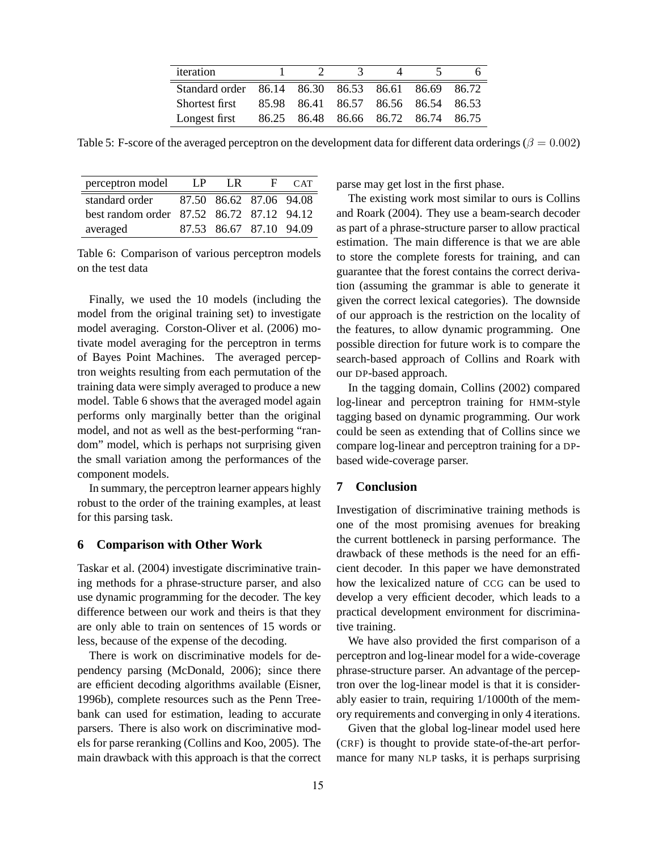| iteration                                          |                                     | $\mathcal{A}$ |  |  |
|----------------------------------------------------|-------------------------------------|---------------|--|--|
| Standard order 86.14 86.30 86.53 86.61 86.69 86.72 |                                     |               |  |  |
| Shortest first 85.98 86.41 86.57 86.56 86.54 86.53 |                                     |               |  |  |
| Longest first                                      | 86.25 86.48 86.66 86.72 86.74 86.75 |               |  |  |

Table 5: F-score of the averaged perceptron on the development data for different data orderings ( $\beta = 0.002$ )

| perceptron model                          | L.P | I R                     | - F | CAT |
|-------------------------------------------|-----|-------------------------|-----|-----|
| standard order                            |     | 87.50 86.62 87.06 94.08 |     |     |
| best random order 87.52 86.72 87.12 94.12 |     |                         |     |     |
| averaged                                  |     | 87.53 86.67 87.10 94.09 |     |     |

Table 6: Comparison of various perceptron models on the test data

Finally, we used the 10 models (including the model from the original training set) to investigate model averaging. Corston-Oliver et al. (2006) motivate model averaging for the perceptron in terms of Bayes Point Machines. The averaged perceptron weights resulting from each permutation of the training data were simply averaged to produce a new model. Table 6 shows that the averaged model again performs only marginally better than the original model, and not as well as the best-performing "random" model, which is perhaps not surprising given the small variation among the performances of the component models.

In summary, the perceptron learner appears highly robust to the order of the training examples, at least for this parsing task.

#### **6 Comparison with Other Work**

Taskar et al. (2004) investigate discriminative training methods for a phrase-structure parser, and also use dynamic programming for the decoder. The key difference between our work and theirs is that they are only able to train on sentences of 15 words or less, because of the expense of the decoding.

There is work on discriminative models for dependency parsing (McDonald, 2006); since there are efficient decoding algorithms available (Eisner, 1996b), complete resources such as the Penn Treebank can used for estimation, leading to accurate parsers. There is also work on discriminative models for parse reranking (Collins and Koo, 2005). The main drawback with this approach is that the correct parse may get lost in the first phase.

The existing work most similar to ours is Collins and Roark (2004). They use a beam-search decoder as part of a phrase-structure parser to allow practical estimation. The main difference is that we are able to store the complete forests for training, and can guarantee that the forest contains the correct derivation (assuming the grammar is able to generate it given the correct lexical categories). The downside of our approach is the restriction on the locality of the features, to allow dynamic programming. One possible direction for future work is to compare the search-based approach of Collins and Roark with our DP-based approach.

In the tagging domain, Collins (2002) compared log-linear and perceptron training for HMM-style tagging based on dynamic programming. Our work could be seen as extending that of Collins since we compare log-linear and perceptron training for a DPbased wide-coverage parser.

## **7 Conclusion**

Investigation of discriminative training methods is one of the most promising avenues for breaking the current bottleneck in parsing performance. The drawback of these methods is the need for an efficient decoder. In this paper we have demonstrated how the lexicalized nature of CCG can be used to develop a very efficient decoder, which leads to a practical development environment for discriminative training.

We have also provided the first comparison of a perceptron and log-linear model for a wide-coverage phrase-structure parser. An advantage of the perceptron over the log-linear model is that it is considerably easier to train, requiring 1/1000th of the memory requirements and converging in only 4 iterations.

Given that the global log-linear model used here (CRF) is thought to provide state-of-the-art performance for many NLP tasks, it is perhaps surprising